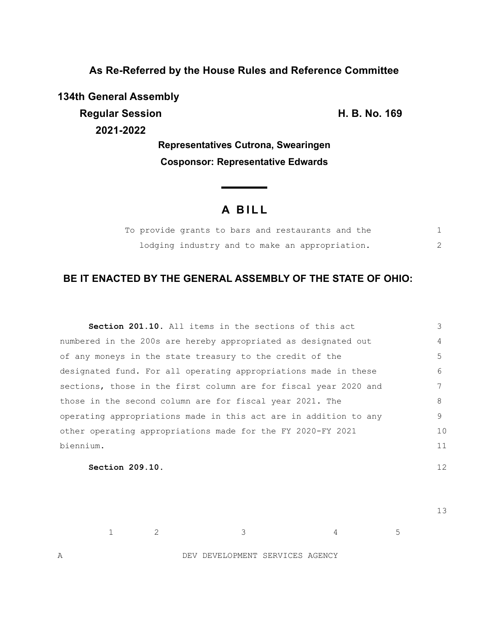**As Re-Referred by the House Rules and Reference Committee**

**134th General Assembly Regular Session H. B. No. 169 2021-2022**

**Representatives Cutrona, Swearingen Cosponsor: Representative Edwards**

# **A B I L L**

|  |  | To provide grants to bars and restaurants and the |  |
|--|--|---------------------------------------------------|--|
|  |  | lodging industry and to make an appropriation.    |  |

## **BE IT ENACTED BY THE GENERAL ASSEMBLY OF THE STATE OF OHIO:**

| <b>Section 201.10.</b> All items in the sections of this act     | 3  |
|------------------------------------------------------------------|----|
| numbered in the 200s are hereby appropriated as designated out   | 4  |
| of any moneys in the state treasury to the credit of the         | 5  |
| designated fund. For all operating appropriations made in these  | 6  |
| sections, those in the first column are for fiscal year 2020 and |    |
| those in the second column are for fiscal year 2021. The         | 8  |
| operating appropriations made in this act are in addition to any | 9  |
| other operating appropriations made for the FY 2020-FY 2021      | 10 |
| biennium.                                                        | 11 |
|                                                                  |    |

**Section 209.10.** 

13

12

 $1$  2 3 4 5

A DEV DEVELOPMENT SERVICES AGENCY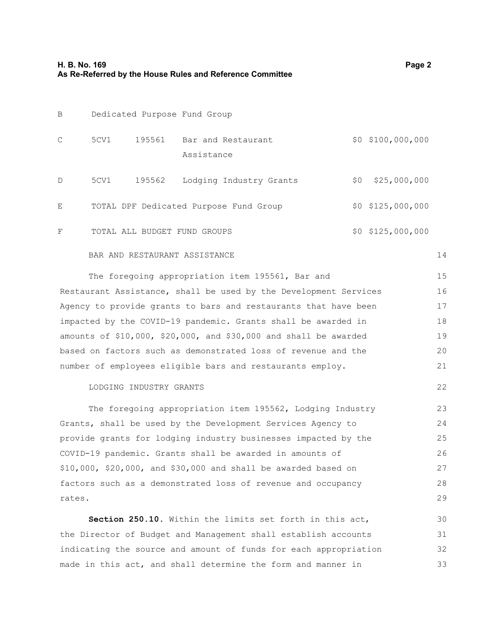| B             |      |                       | Dedicated Purpose Fund Group           |     |                     |
|---------------|------|-----------------------|----------------------------------------|-----|---------------------|
| $\mathcal{C}$ | 5CV1 | 195561                | Bar and Restaurant<br>Assistance       |     | $$0$ $$100,000,000$ |
| $\mathcal{D}$ | 5CV1 | 195562                | Lodging Industry Grants                | \$0 | \$25,000,000        |
| E             |      |                       | TOTAL DPF Dedicated Purpose Fund Group |     | $$0$ $$125,000,000$ |
| F             |      | TOTAL ALL BUDGET FUND | GROUPS                                 |     | $$0$ $$125,000,000$ |

#### BAR AND RESTAURANT ASSISTANCE

14

22

| The foregoing appropriation item 195561, Bar and                      | 15  |
|-----------------------------------------------------------------------|-----|
| Restaurant Assistance, shall be used by the Development Services      | 16  |
| Agency to provide grants to bars and restaurants that have been       | 17  |
| impacted by the COVID-19 pandemic. Grants shall be awarded in         | 18  |
| amounts of $$10,000$ , $$20,000$ , and $$30,000$ and shall be awarded | 19  |
| based on factors such as demonstrated loss of revenue and the         | 20  |
| number of employees eligible bars and restaurants employ.             | 2.1 |

## LODGING INDUSTRY GRANTS

The foregoing appropriation item 195562, Lodging Industry Grants, shall be used by the Development Services Agency to provide grants for lodging industry businesses impacted by the COVID-19 pandemic. Grants shall be awarded in amounts of \$10,000, \$20,000, and \$30,000 and shall be awarded based on factors such as a demonstrated loss of revenue and occupancy rates. 23 24 25 26 27 28 29

**Section 250.10.** Within the limits set forth in this act, the Director of Budget and Management shall establish accounts indicating the source and amount of funds for each appropriation made in this act, and shall determine the form and manner in 30 31 32 33